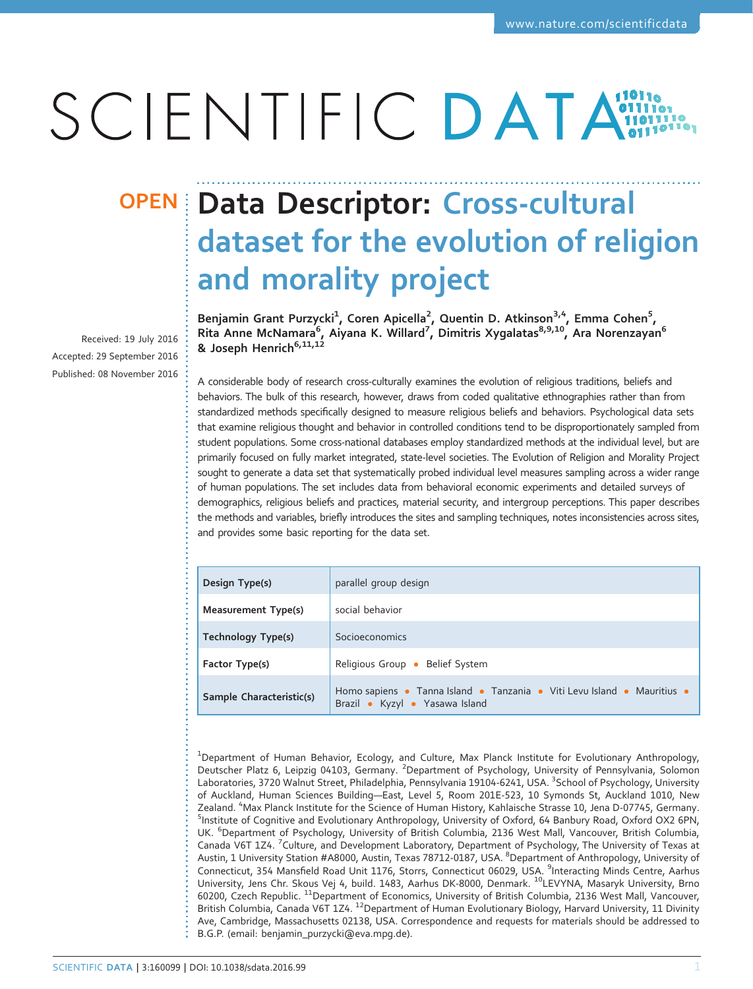# SCIENTIFIC DATA

Received: 19 July 2016 Accepted: 29 September 2016 Published: 08 November 2016

## OPEN Data Descriptor: Cross-cultural dataset for the evolution of religion and morality project

Benjamin Grant Purzycki<sup>1</sup>, Coren Apicella<sup>2</sup>, Quentin D. Atkinson<sup>3,4</sup>, Emma Cohen<sup>5</sup>, Rita Anne McNamara<sup>6</sup>, Aiyana K. Willard<sup>7</sup>, Dimitris Xygalatas<sup>8,9,10</sup>, Ara Norenzayan<sup>6</sup> & Joseph Henrich<sup>6,11,12</sup>

A considerable body of research cross-culturally examines the evolution of religious traditions, beliefs and behaviors. The bulk of this research, however, draws from coded qualitative ethnographies rather than from standardized methods specifically designed to measure religious beliefs and behaviors. Psychological data sets that examine religious thought and behavior in controlled conditions tend to be disproportionately sampled from student populations. Some cross-national databases employ standardized methods at the individual level, but are primarily focused on fully market integrated, state-level societies. The Evolution of Religion and Morality Project sought to generate a data set that systematically probed individual level measures sampling across a wider range of human populations. The set includes data from behavioral economic experiments and detailed surveys of demographics, religious beliefs and practices, material security, and intergroup perceptions. This paper describes the methods and variables, briefly introduces the sites and sampling techniques, notes inconsistencies across sites, and provides some basic reporting for the data set.

| Design Type(s)           | parallel group design                                                                                     |  |  |  |  |  |
|--------------------------|-----------------------------------------------------------------------------------------------------------|--|--|--|--|--|
| Measurement Type(s)      | social behavior                                                                                           |  |  |  |  |  |
| Technology Type(s)       | Socioeconomics                                                                                            |  |  |  |  |  |
| Factor Type(s)           | Religious Group • Belief System                                                                           |  |  |  |  |  |
| Sample Characteristic(s) | Homo sapiens • Tanna Island • Tanzania • Viti Levu Island • Mauritius •<br>Brazil • Kyzyl • Yasawa Island |  |  |  |  |  |

<sup>1</sup>Department of Human Behavior, Ecology, and Culture, Max Planck Institute for Evolutionary Anthropology, Deutscher Platz 6, Leipzig 04103, Germany. <sup>2</sup>Department of Psychology, University of Pennsylvania, Solomon Laboratories, 3720 Walnut Street, Philadelphia, Pennsylvania 19104-6241, USA. <sup>3</sup>School of Psychology, University of Auckland, Human Sciences Building—East, Level 5, Room 201E-523, 10 Symonds St, Auckland 1010, New Zealand. <sup>4</sup> Max Planck Institute for the Science of Human History, Kahlaische Strasse 10, Jena D-07745, Germany.<br><sup>5</sup> Institute of Cognitive and Evolutionary Anthropology, University of Oxford, 66 Banbury Boad, Oxford OX2, <sup>5</sup>Institute of Cognitive and Evolutionary Anthropology, University of Oxford, 64 Banbury Road, Oxford OX2 6PN, UK. <sup>6</sup>Department of Psychology, University of British Columbia, 2136 West Mall, Vancouver, British Columbia, Canada V6T 1Z4. <sup>7</sup>Culture, and Development Laboratory, Department of Psychology, The University of Texas at Austin, 1 University Station #A8000, Austin, Texas 78712-0187, USA. <sup>8</sup>Department of Anthropology, University of Connecticut, 354 Mansfield Road Unit 1176, Storrs, Connecticut 06029, USA. <sup>9</sup>Interacting Minds Centre, Aarhus University, Jens Chr. Skous Vej 4, build. 1483, Aarhus DK-8000, Denmark. <sup>10</sup>LEVYNA, Masaryk University, Brno 60200, Czech Republic. <sup>11</sup>Department of Economics, University of British Columbia, 2136 West Mall, Vancouver, British Columbia, Canada V6T 1Z4. <sup>12</sup>Department of Human Evolutionary Biology, Harvard University, 11 Divinity Ave, Cambridge, Massachusetts 02138, USA. Correspondence and requests for materials should be addressed to B.G.P. (email: [benjamin\\_purzycki@eva.mpg.de\)](mailto:benjamin_purzycki@eva.mpg.de).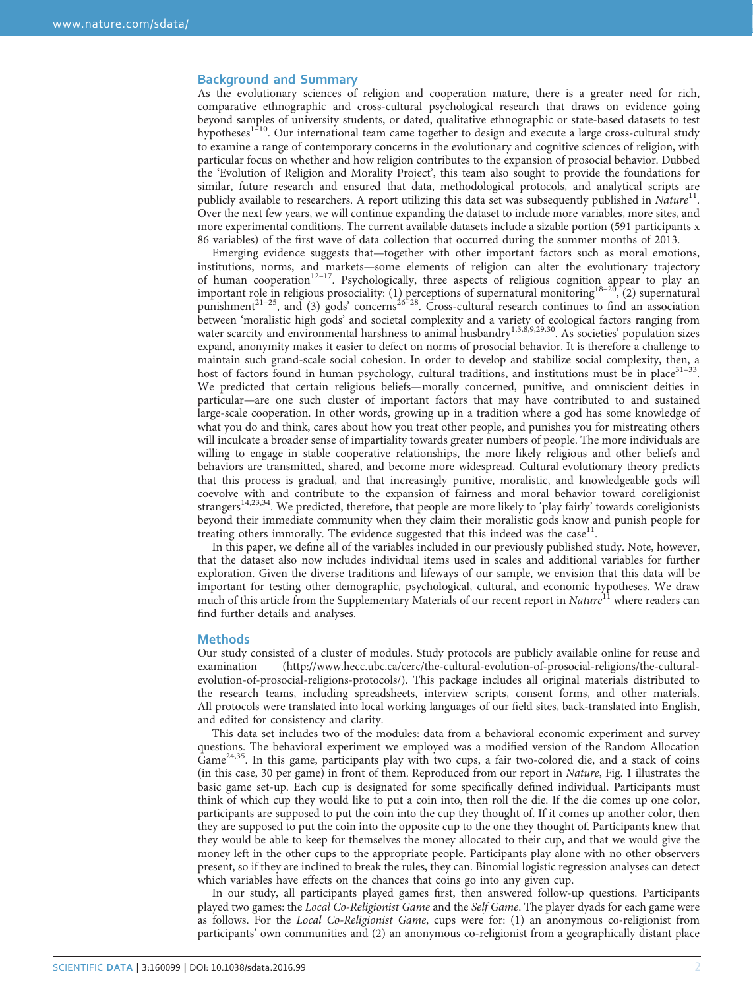#### Background and Summary

As the evolutionary sciences of religion and cooperation mature, there is a greater need for rich, comparative ethnographic and cross-cultural psychological research that draws on evidence going beyond samples of university students, or dated, qualitative ethnographic or state-based datasets to test hypotheses<sup>1-10</sup>. Our international team came together to design and execute a large cross-cultural study to examine a range of contemporary concerns in the evolutionary and cognitive sciences of religion, with particular focus on whether and how religion contributes to the expansion of prosocial behavior. Dubbed the 'Evolution of Religion and Morality Project', this team also sought to provide the foundations for similar, future research and ensured that data, methodological protocols, and analytical scripts are publicly available to researchers. A report utilizing this data set was subsequently published in  $Nature^{11}$  $Nature^{11}$  $Nature^{11}$ . Over the next few years, we will continue expanding the dataset to include more variables, more sites, and more experimental conditions. The current available datasets include a sizable portion (591 participants x 86 variables) of the first wave of data collection that occurred during the summer months of 2013.

Emerging evidence suggests that—together with other important factors such as moral emotions, institutions, norms, a[nd m](#page-10-0)arkets—some elements of religion can alter the evolutionary trajectory of human cooperation<sup>12–17</sup>. Psychologically, three aspects of religious cogniti[on ap](#page-10-0)pear to play an important r[ole in](#page-10-0) religious prosociality: ([1\) per](#page-10-0)ceptions of supernatural monitoring<sup>18-20</sup>, (2) supernatural punishment<sup>21–25</sup>, and (3) gods' concerns<sup>26–28</sup>. Cross-cultural research continues to find an association between 'moralistic high gods' and societal complexity and a variety of ecological factors ranging from water scarcity and environmental harshness to animal husbandry<sup>[1,3,8,9](#page-10-0),[29,30](#page-10-0)</sup>. As societies' population sizes expand, anonymity makes it easier to defect on norms of prosocial behavior. It is therefore a challenge to maintain such grand-scale social cohesion. In order to develop and stabilize social complexity, t[hen, a](#page-10-0) host of factors found in human psychology, cultural traditions, and institutions must be in place<sup>31-33</sup>. We predicted that certain religious beliefs—morally concerned, punitive, and omniscient deities in particular—are one such cluster of important factors that may have contributed to and sustained large-scale cooperation. In other words, growing up in a tradition where a god has some knowledge of what you do and think, cares about how you treat other people, and punishes you for mistreating others will inculcate a broader sense of impartiality towards greater numbers of people. The more individuals are willing to engage in stable cooperative relationships, the more likely religious and other beliefs and behaviors are transmitted, shared, and become more widespread. Cultural evolutionary theory predicts that this process is gradual, and that increasingly punitive, moralistic, and knowledgeable gods will coevolve with and contribute to the expansion of fairness and moral behavior toward coreligionist strangers<sup>[14](#page-10-0),23,34</sup>. We predicted, therefore, that people are more likely to 'play fairly' towards coreligionists beyond their immediate community when they claim their moralistic gods know and punish people for treating others immorally. The evidence suggested that this indeed was the case<sup>[11](#page-10-0)</sup>.

In this paper, we define all of the variables included in our previously published study. Note, however, that the dataset also now includes individual items used in scales and additional variables for further exploration. Given the diverse traditions and lifeways of our sample, we envision that this data will be important for testing other demographic, psychological, cultural, and economic hypotheses. We draw much of this article from the Supplementary Materials of our recent report in Nature<sup>[11](#page-10-0)</sup> where readers can find further details and analyses.

#### **Methods**

Our study consisted of a cluster of modules. Study protocols are publicly available online for reuse and examination ([http://www.hecc.ubc.ca/cerc/the-cultural-evolution-of-prosocial-religions/the-cultural](http://www.hecc.ubc.ca/cerc/the-cultural-evolution-of-prosocial-religions/the-cultural-evolution-of-prosocial-religions-protocols/)[evolution-of-prosocial-religions-protocols/](http://www.hecc.ubc.ca/cerc/the-cultural-evolution-of-prosocial-religions/the-cultural-evolution-of-prosocial-religions-protocols/)). This package includes all original materials distributed to the research teams, including spreadsheets, interview scripts, consent forms, and other materials. All protocols were translated into local working languages of our field sites, back-translated into English, and edited for consistency and clarity.

This data set includes two of the modules: data from a behavioral economic experiment and survey questions. The behavioral experiment we employed was a modified version of the Random Allocation Game[24,35.](#page-10-0) In this game, participants play with two cups, a fair two-colored die, and a stack of coins (in this case, 30 per game) in front of them. Reproduced from our report in Nature, [Fig. 1](#page-2-0) illustrates the basic game set-up. Each cup is designated for some specifically defined individual. Participants must think of which cup they would like to put a coin into, then roll the die. If the die comes up one color, participants are supposed to put the coin into the cup they thought of. If it comes up another color, then they are supposed to put the coin into the opposite cup to the one they thought of. Participants knew that they would be able to keep for themselves the money allocated to their cup, and that we would give the money left in the other cups to the appropriate people. Participants play alone with no other observers present, so if they are inclined to break the rules, they can. Binomial logistic regression analyses can detect which variables have effects on the chances that coins go into any given cup.

In our study, all participants played games first, then answered follow-up questions. Participants played two games: the Local Co-Religionist Game and the Self Game. The player dyads for each game were as follows. For the Local Co-Religionist Game, cups were for: (1) an anonymous co-religionist from participants' own communities and (2) an anonymous co-religionist from a geographically distant place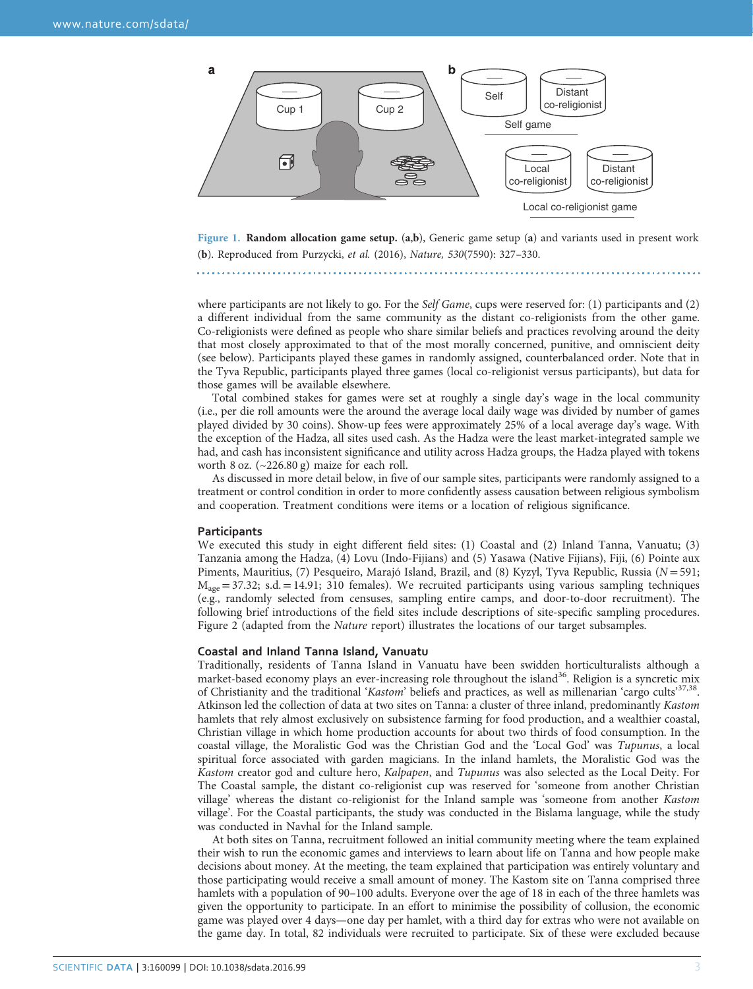<span id="page-2-0"></span>

Figure 1. Random allocation game setup. (a,b), Generic game setup (a) and variants used in present work (b). Reproduced from Purzycki, et al. (2016), Nature, 530(7590): 327–330.

where participants are not likely to go. For the Self Game, cups were reserved for: (1) participants and (2) a different individual from the same community as the distant co-religionists from the other game. Co-religionists were defined as people who share similar beliefs and practices revolving around the deity that most closely approximated to that of the most morally concerned, punitive, and omniscient deity (see below). Participants played these games in randomly assigned, counterbalanced order. Note that in the Tyva Republic, participants played three games (local co-religionist versus participants), but data for those games will be available elsewhere.

Total combined stakes for games were set at roughly a single day's wage in the local community (i.e., per die roll amounts were the around the average local daily wage was divided by number of games played divided by 30 coins). Show-up fees were approximately 25% of a local average day's wage. With the exception of the Hadza, all sites used cash. As the Hadza were the least market-integrated sample we had, and cash has inconsistent significance and utility across Hadza groups, the Hadza played with tokens worth  $8 \text{ oz. } (-226.80 \text{ g})$  maize for each roll.

As discussed in more detail below, in five of our sample sites, participants were randomly assigned to a treatment or control condition in order to more confidently assess causation between religious symbolism and cooperation. Treatment conditions were items or a location of religious significance.

#### **Participants**

We executed this study in eight different field sites: (1) Coastal and (2) Inland Tanna, Vanuatu; (3) Tanzania among the Hadza, (4) Lovu (Indo-Fijians) and (5) Yasawa (Native Fijians), Fiji, (6) Pointe aux Piments, Mauritius, (7) Pesqueiro, Marajó Island, Brazil, and (8) Kyzyl, Tyva Republic, Russia (N=591;  $M<sub>ave</sub> = 37.32$ ; s.d. = 14.91; 310 females). We recruited participants using various sampling techniques (e.g., randomly selected from censuses, sampling entire camps, and door-to-door recruitment). The following brief introductions of the field sites include descriptions of site-specific sampling procedures. [Figure 2](#page-3-0) (adapted from the Nature report) illustrates the locations of our target subsamples.

#### Coastal and Inland Tanna Island, Vanuatu

Traditionally, residents of Tanna Island in Vanuatu have been swidden horticulturalists although a market-based economy plays an ever-increasing role throughout the island<sup>[36](#page-10-0)</sup>. Religion is a syncretic mix of Christianity and the traditional 'Kastom' beliefs and practices, as well as millenarian 'cargo cults'<sup>[37,38](#page-10-0)</sup>. Atkinson led the collection of data at two sites on Tanna: a cluster of three inland, predominantly Kastom hamlets that rely almost exclusively on subsistence farming for food production, and a wealthier coastal, Christian village in which home production accounts for about two thirds of food consumption. In the coastal village, the Moralistic God was the Christian God and the 'Local God' was Tupunus, a local spiritual force associated with garden magicians. In the inland hamlets, the Moralistic God was the Kastom creator god and culture hero, Kalpapen, and Tupunus was also selected as the Local Deity. For The Coastal sample, the distant co-religionist cup was reserved for 'someone from another Christian village' whereas the distant co-religionist for the Inland sample was 'someone from another Kastom village'. For the Coastal participants, the study was conducted in the Bislama language, while the study was conducted in Navhal for the Inland sample.

At both sites on Tanna, recruitment followed an initial community meeting where the team explained their wish to run the economic games and interviews to learn about life on Tanna and how people make decisions about money. At the meeting, the team explained that participation was entirely voluntary and those participating would receive a small amount of money. The Kastom site on Tanna comprised three hamlets with a population of 90–100 adults. Everyone over the age of 18 in each of the three hamlets was given the opportunity to participate. In an effort to minimise the possibility of collusion, the economic game was played over 4 days—one day per hamlet, with a third day for extras who were not available on the game day. In total, 82 individuals were recruited to participate. Six of these were excluded because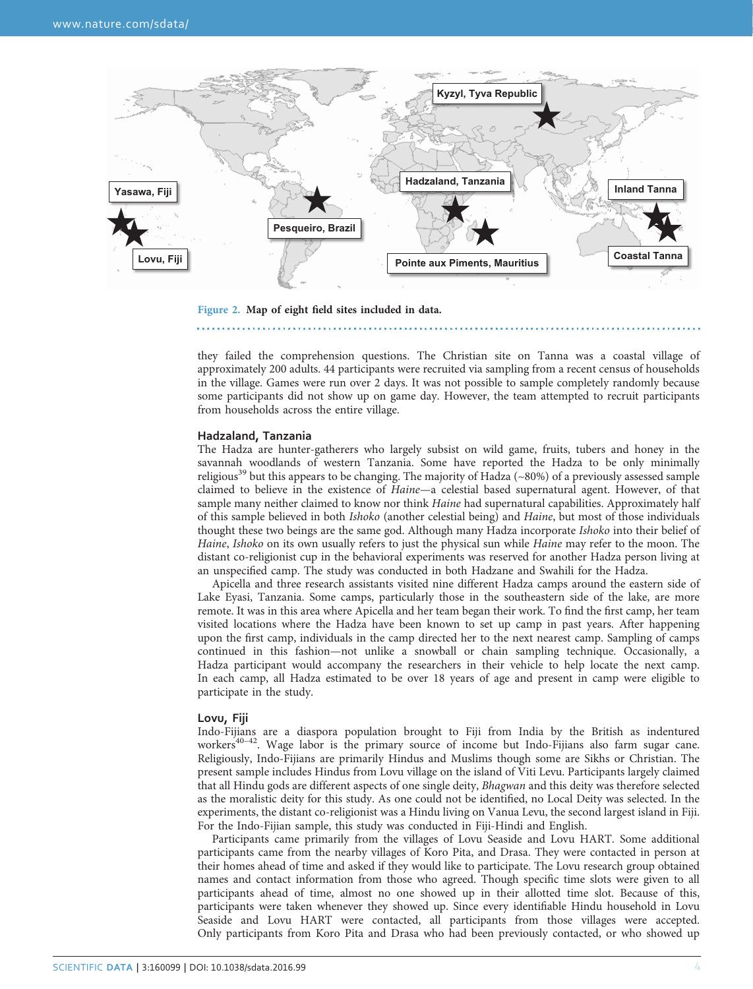<span id="page-3-0"></span>



they failed the comprehension questions. The Christian site on Tanna was a coastal village of approximately 200 adults. 44 participants were recruited via sampling from a recent census of households in the village. Games were run over 2 days. It was not possible to sample completely randomly because some participants did not show up on game day. However, the team attempted to recruit participants from households across the entire village.

#### Hadzaland, Tanzania

The Hadza are hunter-gatherers who largely subsist on wild game, fruits, tubers and honey in the savannah woodlands of western Tanzania. Some have reported the Hadza to be only minimally religious<sup>[39](#page-10-0)</sup> but this appears to be changing. The majority of Hadza ( $\sim$ 80%) of a previously assessed sample claimed to believe in the existence of Haine—a celestial based supernatural agent. However, of that sample many neither claimed to know nor think *Haine* had supernatural capabilities. Approximately half of this sample believed in both Ishoko (another celestial being) and Haine, but most of those individuals thought these two beings are the same god. Although many Hadza incorporate Ishoko into their belief of Haine, Ishoko on its own usually refers to just the physical sun while Haine may refer to the moon. The distant co-religionist cup in the behavioral experiments was reserved for another Hadza person living at an unspecified camp. The study was conducted in both Hadzane and Swahili for the Hadza.

Apicella and three research assistants visited nine different Hadza camps around the eastern side of Lake Eyasi, Tanzania. Some camps, particularly those in the southeastern side of the lake, are more remote. It was in this area where Apicella and her team began their work. To find the first camp, her team visited locations where the Hadza have been known to set up camp in past years. After happening upon the first camp, individuals in the camp directed her to the next nearest camp. Sampling of camps continued in this fashion—not unlike a snowball or chain sampling technique. Occasionally, a Hadza participant would accompany the researchers in their vehicle to help locate the next camp. In each camp, all Hadza estimated to be over 18 years of age and present in camp were eligible to participate in the study.

#### Lovu, Fiji

Indo-Fijians are a diaspora population brought to Fiji from India by the British as indentured workers<sup>40-42</sup>. Wage labor is the primary source of income but Indo-Fijians also farm sugar cane. Religiously, Indo-Fijians are primarily Hindus and Muslims though some are Sikhs or Christian. The present sample includes Hindus from Lovu village on the island of Viti Levu. Participants largely claimed that all Hindu gods are different aspects of one single deity, Bhagwan and this deity was therefore selected as the moralistic deity for this study. As one could not be identified, no Local Deity was selected. In the experiments, the distant co-religionist was a Hindu living on Vanua Levu, the second largest island in Fiji. For the Indo-Fijian sample, this study was conducted in Fiji-Hindi and English.

Participants came primarily from the villages of Lovu Seaside and Lovu HART. Some additional participants came from the nearby villages of Koro Pita, and Drasa. They were contacted in person at their homes ahead of time and asked if they would like to participate. The Lovu research group obtained names and contact information from those who agreed. Though specific time slots were given to all participants ahead of time, almost no one showed up in their allotted time slot. Because of this, participants were taken whenever they showed up. Since every identifiable Hindu household in Lovu Seaside and Lovu HART were contacted, all participants from those villages were accepted. Only participants from Koro Pita and Drasa who had been previously contacted, or who showed up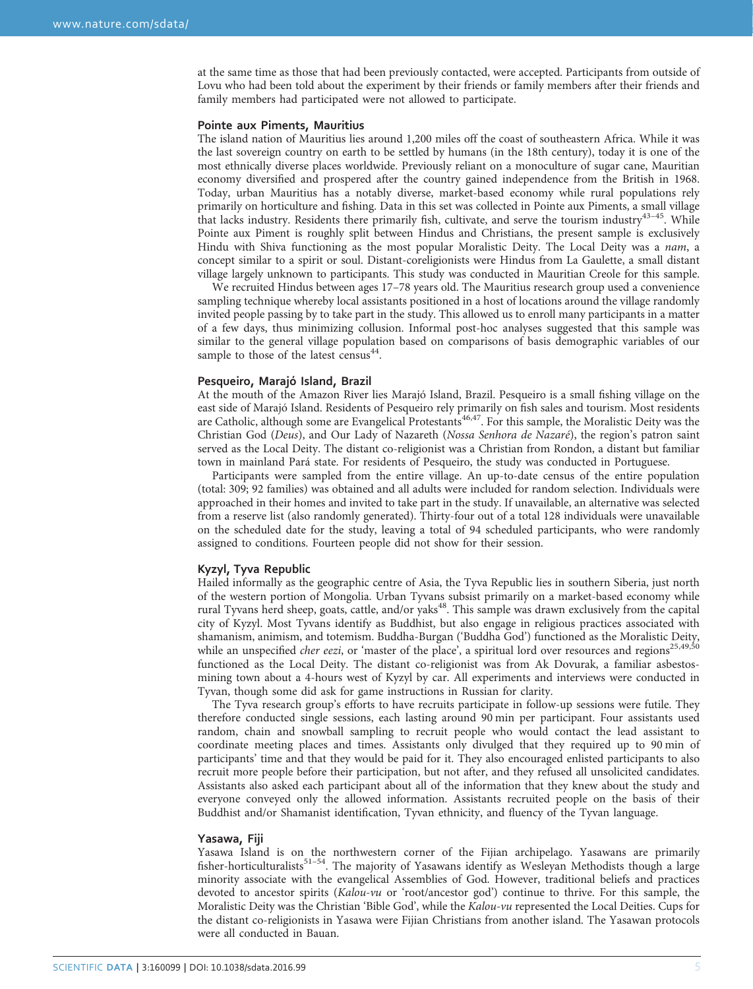at the same time as those that had been previously contacted, were accepted. Participants from outside of Lovu who had been told about the experiment by their friends or family members after their friends and family members had participated were not allowed to participate.

#### Pointe aux Piments, Mauritius

The island nation of Mauritius lies around 1,200 miles off the coast of southeastern Africa. While it was the last sovereign country on earth to be settled by humans (in the 18th century), today it is one of the most ethnically diverse places worldwide. Previously reliant on a monoculture of sugar cane, Mauritian economy diversified and prospered after the country gained independence from the British in 1968. Today, urban Mauritius has a notably diverse, market-based economy while rural populations rely primarily on horticulture and fishing. Data in this set was collected in Pointe aux Piments, a [small](#page-10-0) village that lacks industry. Residents there primarily fish, cultivate, and serve the tourism industry<sup>43–45</sup>. While Pointe aux Piment is roughly split between Hindus and Christians, the present sample is exclusively Hindu with Shiva functioning as the most popular Moralistic Deity. The Local Deity was a nam, a concept similar to a spirit or soul. Distant-coreligionists were Hindus from La Gaulette, a small distant village largely unknown to participants. This study was conducted in Mauritian Creole for this sample.

We recruited Hindus between ages 17–78 years old. The Mauritius research group used a convenience sampling technique whereby local assistants positioned in a host of locations around the village randomly invited people passing by to take part in the study. This allowed us to enroll many participants in a matter of a few days, thus minimizing collusion. Informal post-hoc analyses suggested that this sample was similar to the general village population based on comparisons of basis demographic variables of our sample to those of the latest census<sup>44</sup>.

#### Pesqueiro, Marajó Island, Brazil

At the mouth of the Amazon River lies Marajó Island, Brazil. Pesqueiro is a small fishing village on the east side of Marajó Island. Residents of Pesqueiro rely primarily on fish sales and tourism. Most residents are Catholic, although some are Evangelical Protestants<sup>[46](#page-10-0),[47](#page-10-0)</sup>. For this sample, the Moralistic Deity was the Christian God (Deus), and Our Lady of Nazareth (Nossa Senhora de Nazaré), the region's patron saint served as the Local Deity. The distant co-religionist was a Christian from Rondon, a distant but familiar town in mainland Pará state. For residents of Pesqueiro, the study was conducted in Portuguese.

Participants were sampled from the entire village. An up-to-date census of the entire population (total: 309; 92 families) was obtained and all adults were included for random selection. Individuals were approached in their homes and invited to take part in the study. If unavailable, an alternative was selected from a reserve list (also randomly generated). Thirty-four out of a total 128 individuals were unavailable on the scheduled date for the study, leaving a total of 94 scheduled participants, who were randomly assigned to conditions. Fourteen people did not show for their session.

#### Kyzyl, Tyva Republic

Hailed informally as the geographic centre of Asia, the Tyva Republic lies in southern Siberia, just north of the western portion of Mongolia. Urban Tyvans subsist primarily on a market-based economy while rural Tyvans herd sheep, goats, cattle, and/or yaks<sup>[48](#page-10-0)</sup>. This sample was drawn exclusively from the capital city of Kyzyl. Most Tyvans identify as Buddhist, but also engage in religious practices associated with shamanism, animism, and totemism. Buddha-Burgan ('Buddha God') functioned as the Moralistic Deity, while an unspecified *cher eezi*, or 'master of the place', a spiritual lord over resources and regions<sup>[25,49](#page-10-0),[50](#page-10-0)</sup> functioned as the Local Deity. The distant co-religionist was from Ak Dovurak, a familiar asbestosmining town about a 4-hours west of Kyzyl by car. All experiments and interviews were conducted in Tyvan, though some did ask for game instructions in Russian for clarity.

The Tyva research group's efforts to have recruits participate in follow-up sessions were futile. They therefore conducted single sessions, each lasting around 90 min per participant. Four assistants used random, chain and snowball sampling to recruit people who would contact the lead assistant to coordinate meeting places and times. Assistants only divulged that they required up to 90 min of participants' time and that they would be paid for it. They also encouraged enlisted participants to also recruit more people before their participation, but not after, and they refused all unsolicited candidates. Assistants also asked each participant about all of the information that they knew about the study and everyone conveyed only the allowed information. Assistants recruited people on the basis of their Buddhist and/or Shamanist identification, Tyvan ethnicity, and fluency of the Tyvan language.

#### Yasawa, Fiji

Yasawa Island is o[n the](#page-11-0) northwestern corner of the Fijian archipelago. Yasawans are primarily fisher-horticulturalists<sup>51-54</sup>. The majority of Yasawans identify as Wesleyan Methodists though a large minority associate with the evangelical Assemblies of God. However, traditional beliefs and practices devoted to ancestor spirits (Kalou-vu or 'root/ancestor god') continue to thrive. For this sample, the Moralistic Deity was the Christian 'Bible God', while the Kalou-vu represented the Local Deities. Cups for the distant co-religionists in Yasawa were Fijian Christians from another island. The Yasawan protocols were all conducted in Bauan.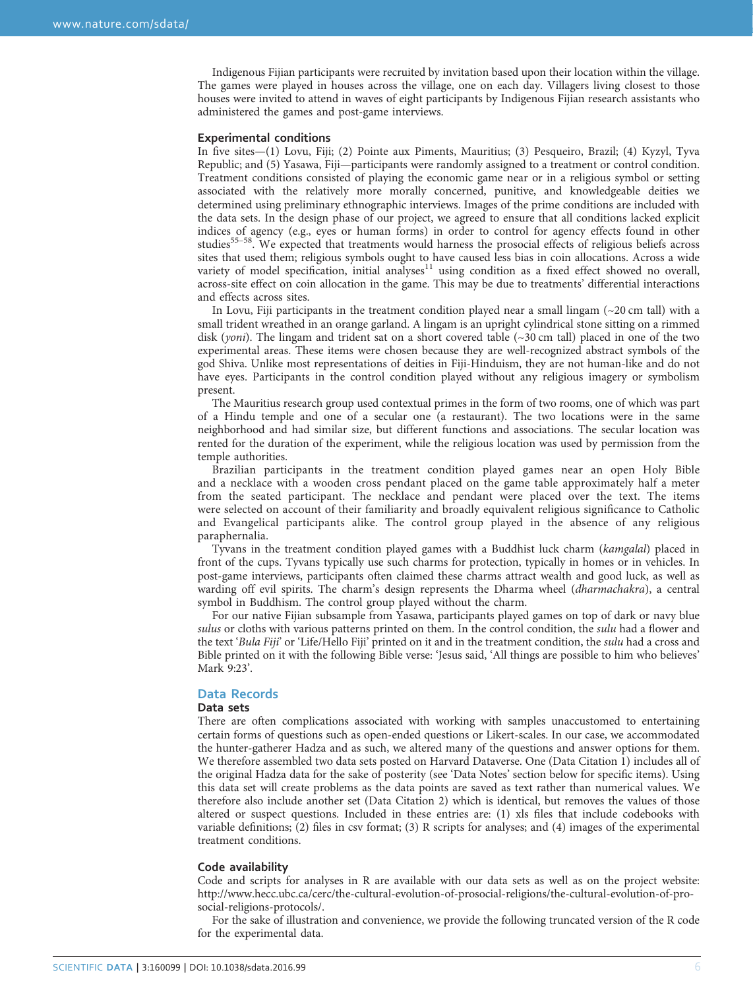Indigenous Fijian participants were recruited by invitation based upon their location within the village. The games were played in houses across the village, one on each day. Villagers living closest to those houses were invited to attend in waves of eight participants by Indigenous Fijian research assistants who administered the games and post-game interviews.

#### Experimental conditions

In five sites—(1) Lovu, Fiji; (2) Pointe aux Piments, Mauritius; (3) Pesqueiro, Brazil; (4) Kyzyl, Tyva Republic; and (5) Yasawa, Fiji—participants were randomly assigned to a treatment or control condition. Treatment conditions consisted of playing the economic game near or in a religious symbol or setting associated with the relatively more morally concerned, punitive, and knowledgeable deities we determined using preliminary ethnographic interviews. Images of the prime conditions are included with the data sets. In the design phase of our project, we agreed to ensure that all conditions lacked explicit indices of agency (e.g., eyes or human forms) in order to control for agency effects found in other studies<sup>55–58</sup>. We expected that treatments would harness the prosocial effects of religious beliefs across sites that used them; religious symbols ought to have caused less bias in coin allocations. Across a wide variety of model specification, initial analyses $^{11}$  $^{11}$  $^{11}$  using condition as a fixed effect showed no overall, across-site effect on coin allocation in the game. This may be due to treatments' differential interactions and effects across sites.

In Lovu, Fiji participants in the treatment condition played near a small lingam (~20 cm tall) with a small trident wreathed in an orange garland. A lingam is an upright cylindrical stone sitting on a rimmed disk (yoni). The lingam and trident sat on a short covered table (~30 cm tall) placed in one of the two experimental areas. These items were chosen because they are well-recognized abstract symbols of the god Shiva. Unlike most representations of deities in Fiji-Hinduism, they are not human-like and do not have eyes. Participants in the control condition played without any religious imagery or symbolism present.

The Mauritius research group used contextual primes in the form of two rooms, one of which was part of a Hindu temple and one of a secular one (a restaurant). The two locations were in the same neighborhood and had similar size, but different functions and associations. The secular location was rented for the duration of the experiment, while the religious location was used by permission from the temple authorities.

Brazilian participants in the treatment condition played games near an open Holy Bible and a necklace with a wooden cross pendant placed on the game table approximately half a meter from the seated participant. The necklace and pendant were placed over the text. The items were selected on account of their familiarity and broadly equivalent religious significance to Catholic and Evangelical participants alike. The control group played in the absence of any religious paraphernalia.

Tyvans in the treatment condition played games with a Buddhist luck charm (kamgalal) placed in front of the cups. Tyvans typically use such charms for protection, typically in homes or in vehicles. In post-game interviews, participants often claimed these charms attract wealth and good luck, as well as warding off evil spirits. The charm's design represents the Dharma wheel (dharmachakra), a central symbol in Buddhism. The control group played without the charm.

For our native Fijian subsample from Yasawa, participants played games on top of dark or navy blue sulus or cloths with various patterns printed on them. In the control condition, the sulu had a flower and the text 'Bula Fiji' or 'Life/Hello Fiji' printed on it and in the treatment condition, the sulu had a cross and Bible printed on it with the following Bible verse: 'Jesus said, 'All things are possible to him who believes' Mark 9:23'.

#### Data Records

#### Data sets

There are often complications associated with working with samples unaccustomed to entertaining certain forms of questions such as open-ended questions or Likert-scales. In our case, we accommodated the hunter-gatherer Hadza and as such, we altered many of the questions and answer options for them. We therefore assembled two data sets posted on Harvard Dataverse. One (Data Citation 1) includes all of the original Hadza data for the sake of posterity (see 'Data Notes' section below for specific items). Using this data set will create problems as the data points are saved as text rather than numerical values. We therefore also include another set (Data Citation 2) which is identical, but removes the values of those altered or suspect questions. Included in these entries are: (1) xls files that include codebooks with variable definitions; (2) files in csv format; (3) R scripts for analyses; and (4) images of the experimental treatment conditions.

#### Code availability

Code and scripts for analyses in R are available with our data sets as well as on the project website: [http://www.hecc.ubc.ca/cerc/the-cultural-evolution-of-prosocial-religions/the-cultural-evolution-of-pro](http://www.hecc.ubc.ca/cerc/the-cultural-evolution-of-prosocial-religions/the-cultural-evolution-of-prosocial-religions-protocols/)[social-religions-protocols/.](http://www.hecc.ubc.ca/cerc/the-cultural-evolution-of-prosocial-religions/the-cultural-evolution-of-prosocial-religions-protocols/)

For the sake of illustration and convenience, we provide the following truncated version of the R code for the experimental data.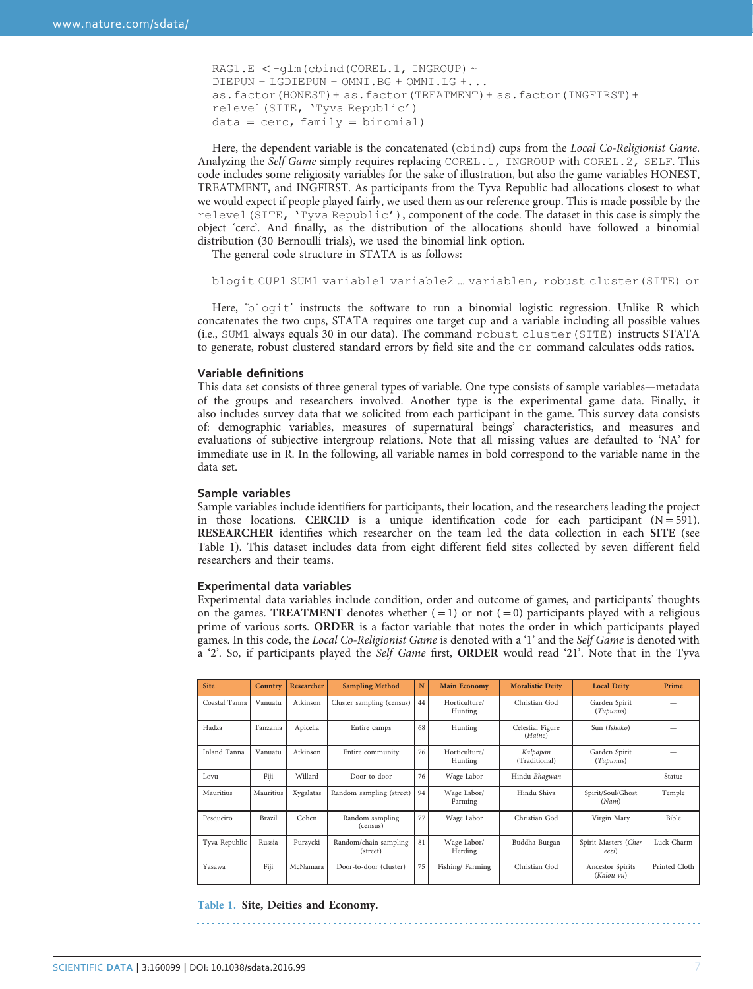```
RAG1.E < -qlm(clind(COREL.1, INGROUP) ~DIEPUN + LGDIEPUN + OMNI.BG + OMNI.LG +...
as.factor(HONEST)+ as.factor(TREATMENT)+ as.factor(INGFIRST)+
relevel(SITE, 'Tyva Republic')
data = cerc, family = binomial
```
Here, the dependent variable is the concatenated (cbind) cups from the *Local Co-Religionist Game*. Analyzing the Self Game simply requires replacing COREL.1, INGROUP with COREL.2, SELF. This code includes some religiosity variables for the sake of illustration, but also the game variables HONEST, TREATMENT, and INGFIRST. As participants from the Tyva Republic had allocations closest to what we would expect if people played fairly, we used them as our reference group. This is made possible by the relevel(SITE, 'Tyva Republic'), component of the code. The dataset in this case is simply the object 'cerc'. And finally, as the distribution of the allocations should have followed a binomial distribution (30 Bernoulli trials), we used the binomial link option.

The general code structure in STATA is as follows:

```
blogit CUP1 SUM1 variable1 variable2 … variablen, robust cluster(SITE) or
```
Here, 'blogit' instructs the software to run a binomial logistic regression. Unlike R which concatenates the two cups, STATA requires one target cup and a variable including all possible values (i.e., SUM1 always equals 30 in our data). The command robust cluster(SITE) instructs STATA to generate, robust clustered standard errors by field site and the or command calculates odds ratios.

#### Variable definitions

This data set consists of three general types of variable. One type consists of sample variables—metadata of the groups and researchers involved. Another type is the experimental game data. Finally, it also includes survey data that we solicited from each participant in the game. This survey data consists of: demographic variables, measures of supernatural beings' characteristics, and measures and evaluations of subjective intergroup relations. Note that all missing values are defaulted to 'NA' for immediate use in R. In the following, all variable names in bold correspond to the variable name in the data set.

#### Sample variables

Sample variables include identifiers for participants, their location, and the researchers leading the project in those locations. CERCID is a unique identification code for each participant  $(N = 591)$ . RESEARCHER identifies which researcher on the team led the data collection in each SITE (see Table 1). This dataset includes data from eight different field sites collected by seven different field researchers and their teams.

### Experimental data variables

Experimental data variables include condition, order and outcome of games, and participants' thoughts on the games. **TREATMENT** denotes whether  $(=1)$  or not  $(=0)$  participants played with a religious prime of various sorts. ORDER is a factor variable that notes the order in which participants played games. In this code, the Local Co-Religionist Game is denoted with a '1' and the Self Game is denoted with a '2'. So, if participants played the Self Game first, ORDER would read '21'. Note that in the Tyva

| <b>Site</b>   | Country   | Researcher | <b>Sampling Method</b>            | N  | <b>Main Economy</b>      | <b>Moralistic Deity</b>     | <b>Local Deity</b>              | Prime         |
|---------------|-----------|------------|-----------------------------------|----|--------------------------|-----------------------------|---------------------------------|---------------|
| Coastal Tanna | Vanuatu   | Atkinson   | Cluster sampling (census)         | 44 | Horticulture/<br>Hunting | Christian God               | Garden Spirit<br>(Tupunus)      |               |
| Hadza         | Tanzania  | Apicella   | Entire camps                      | 68 | Hunting                  | Celestial Figure<br>(Haine) | Sun (Ishoko)                    |               |
| Inland Tanna  | Vanuatu   | Atkinson   | Entire community                  | 76 | Horticulture/<br>Hunting | Kalpapan<br>(Traditional)   | Garden Spirit<br>(Tupunus)      |               |
| Lovu          | Fiji      | Willard    | Door-to-door                      | 76 | Wage Labor               | Hindu Bhagwan               |                                 | Statue        |
| Mauritius     | Mauritius | Xygalatas  | Random sampling (street)          | 94 | Wage Labor/<br>Farming   | Hindu Shiva                 | Spirit/Soul/Ghost<br>(Nam)      | Temple        |
| Pesqueiro     | Brazil    | Cohen      | Random sampling<br>(census)       | 77 | Wage Labor               | Christian God               | Virgin Mary                     | Bible         |
| Tyva Republic | Russia    | Purzycki   | Random/chain sampling<br>(street) | 81 | Wage Labor/<br>Herding   | Buddha-Burgan               | Spirit-Masters (Cher<br>e e z i | Luck Charm    |
| Yasawa        | Fiji      | McNamara   | Door-to-door (cluster)            | 75 | Fishing/Farming          | Christian God               | Ancestor Spirits<br>(Kalou-vu)  | Printed Cloth |

### Table 1. Site, Deities and Economy.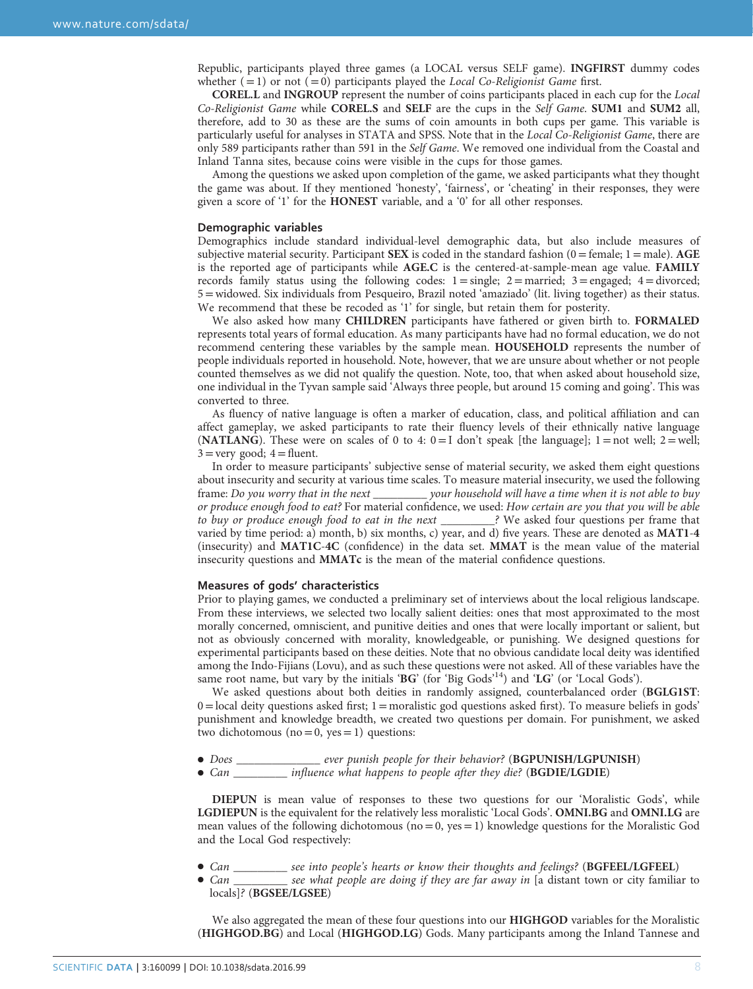Republic, participants played three games (a LOCAL versus SELF game). INGFIRST dummy codes whether  $(=1)$  or not  $(=0)$  participants played the *Local Co-Religionist Game first.* 

COREL.L and INGROUP represent the number of coins participants placed in each cup for the Local Co-Religionist Game while COREL.S and SELF are the cups in the Self Game. SUM1 and SUM2 all, therefore, add to 30 as these are the sums of coin amounts in both cups per game. This variable is particularly useful for analyses in STATA and SPSS. Note that in the Local Co-Religionist Game, there are only 589 participants rather than 591 in the Self Game. We removed one individual from the Coastal and Inland Tanna sites, because coins were visible in the cups for those games.

Among the questions we asked upon completion of the game, we asked participants what they thought the game was about. If they mentioned 'honesty', 'fairness', or 'cheating' in their responses, they were given a score of '1' for the HONEST variable, and a '0' for all other responses.

#### Demographic variables

Demographics include standard individual-level demographic data, but also include measures of subjective material security. Participant SEX is coded in the standard fashion ( $0 =$ female; 1 = male). AGE is the reported age of participants while AGE.C is the centered-at-sample-mean age value. FAMILY records family status using the following codes:  $1 = \text{single}$ ;  $2 = \text{married}$ ;  $3 = \text{engaged}$ ;  $4 = \text{divored}$ ; 5=widowed. Six individuals from Pesqueiro, Brazil noted 'amaziado' (lit. living together) as their status. We recommend that these be recoded as '1' for single, but retain them for posterity.

We also asked how many CHILDREN participants have fathered or given birth to. FORMALED represents total years of formal education. As many participants have had no formal education, we do not recommend centering these variables by the sample mean. HOUSEHOLD represents the number of people individuals reported in household. Note, however, that we are unsure about whether or not people counted themselves as we did not qualify the question. Note, too, that when asked about household size, one individual in the Tyvan sample said 'Always three people, but around 15 coming and going'. This was converted to three.

As fluency of native language is often a marker of education, class, and political affiliation and can affect gameplay, we asked participants to rate their fluency levels of their ethnically native language (NATLANG). These were on scales of 0 to 4:  $0=I$  don't speak [the language];  $1=$  not well;  $2=$  well;  $3 = \text{very good}; 4 = \text{fluent}.$ 

In order to measure participants' subjective sense of material security, we asked them eight questions about insecurity and security at various time scales. To measure material insecurity, we used the following frame: Do you worry that in the next \_\_\_\_\_\_\_\_\_\_ your household will have a time when it is not able to buy or produce enough food to eat? For material confidence, we used: How certain are you that you will be able to buy or produce enough food to eat in the next \_\_\_\_\_\_\_\_\_? We asked four questions per frame that varied by time period: a) month, b) six months, c) year, and d) five years. These are denoted as MAT1-4 (insecurity) and MAT1C-4C (confidence) in the data set. MMAT is the mean value of the material insecurity questions and MMATc is the mean of the material confidence questions.

#### Measures of gods' characteristics

Prior to playing games, we conducted a preliminary set of interviews about the local religious landscape. From these interviews, we selected two locally salient deities: ones that most approximated to the most morally concerned, omniscient, and punitive deities and ones that were locally important or salient, but not as obviously concerned with morality, knowledgeable, or punishing. We designed questions for experimental participants based on these deities. Note that no obvious candidate local deity was identified among the Indo-Fijians (Lovu), and as such these questions were not asked. All of these variables have the same root name, but vary by the initials 'BG' (for 'Big Gods'<sup>[14](#page-10-0)</sup>) and 'LG' (or 'Local Gods').

We asked questions about both deities in randomly assigned, counterbalanced order (BGLG1ST:  $0 =$ local deity questions asked first;  $1 =$  moralistic god questions asked first). To measure beliefs in gods' punishment and knowledge breadth, we created two questions per domain. For punishment, we asked two dichotomous ( $no = 0$ ,  $yes = 1$ ) questions:

- Does \_\_\_\_\_\_\_\_\_\_\_\_\_\_ ever punish people for their behavior? (BGPUNISH/LGPUNISH)
- Can \_\_\_\_\_\_\_\_\_\_ influence what happens to people after they die? (BGDIE/LGDIE)

DIEPUN is mean value of responses to these two questions for our 'Moralistic Gods', while LGDIEPUN is the equivalent for the relatively less moralistic 'Local Gods'. OMNI.BG and OMNI.LG are mean values of the following dichotomous ( $no = 0$ ,  $yes = 1$ ) knowledge questions for the Moralistic God and the Local God respectively:

- Can \_\_\_\_\_\_\_\_\_ see into people's hearts or know their thoughts and feelings? (BGFEEL/LGFEEL)
- Can \_\_\_\_\_\_\_\_\_ see what people are doing if they are far away in [a distant town or city familiar to locals]? (BGSEE/LGSEE)

We also aggregated the mean of these four questions into our HIGHGOD variables for the Moralistic (HIGHGOD.BG) and Local (HIGHGOD.LG) Gods. Many participants among the Inland Tannese and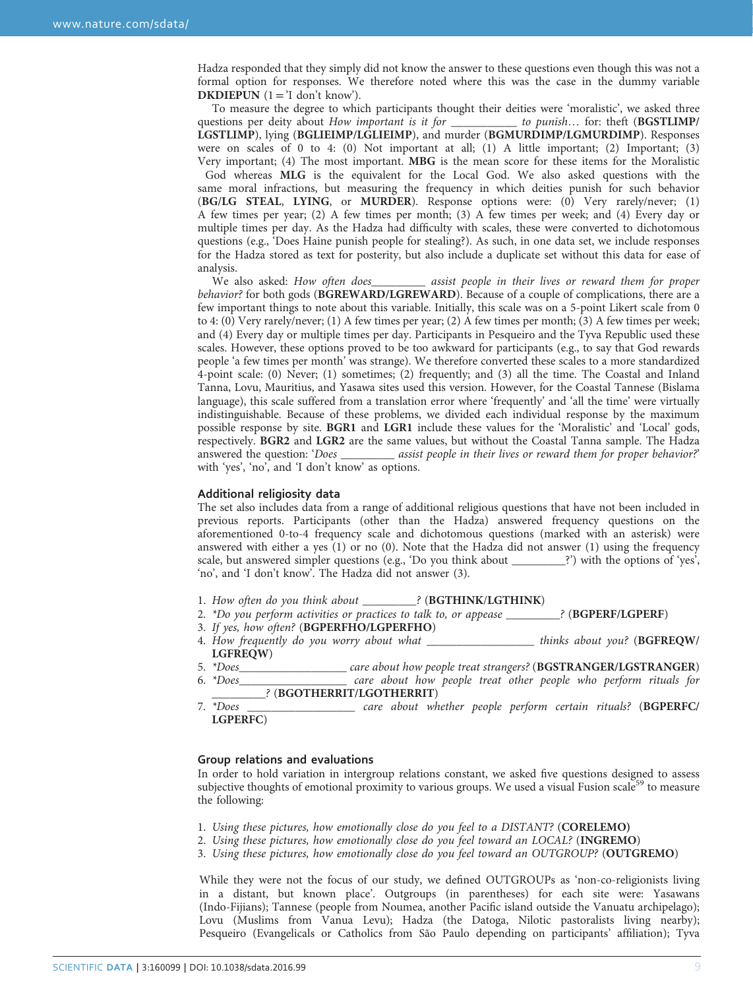Hadza responded that they simply did not know the answer to these questions even though this was not a formal option for responses. We therefore noted where this was the case in the dummy variable DKDIEPUN  $(1 =$ 'I don't know').

To measure the degree to which participants thought their deities were 'moralistic', we asked three questions per deity about How important is it for \_\_\_\_\_\_\_\_\_\_\_\_ to punish... for: theft (BGSTLIMP/ LGSTLIMP), lying (BGLIEIMP/LGLIEIMP), and murder (BGMURDIMP/LGMURDIMP). Responses were on scales of 0 to 4: (0) Not important at all; (1) A little important; (2) Important; (3) Very important; (4) The most important. MBG is the mean score for these items for the Moralistic

God whereas MLG is the equivalent for the Local God. We also asked questions with the same moral infractions, but measuring the frequency in which deities punish for such behavior (BG/LG STEAL, LYING, or MURDER). Response options were: (0) Very rarely/never; (1) A few times per year; (2) A few times per month; (3) A few times per week; and (4) Every day or multiple times per day. As the Hadza had difficulty with scales, these were converted to dichotomous questions (e.g., 'Does Haine punish people for stealing?). As such, in one data set, we include responses for the Hadza stored as text for posterity, but also include a duplicate set without this data for ease of analysis.

We also asked: How often does \_\_\_\_\_\_\_\_\_\_ assist people in their lives or reward them for proper behavior? for both gods (BGREWARD/LGREWARD). Because of a couple of complications, there are a few important things to note about this variable. Initially, this scale was on a 5-point Likert scale from 0 to 4: (0) Very rarely/never; (1) A few times per year; (2) A few times per month; (3) A few times per week; and (4) Every day or multiple times per day. Participants in Pesqueiro and the Tyva Republic used these scales. However, these options proved to be too awkward for participants (e.g., to say that God rewards people 'a few times per month' was strange). We therefore converted these scales to a more standardized 4-point scale: (0) Never; (1) sometimes; (2) frequently; and (3) all the time. The Coastal and Inland Tanna, Lovu, Mauritius, and Yasawa sites used this version. However, for the Coastal Tannese (Bislama language), this scale suffered from a translation error where 'frequently' and 'all the time' were virtually indistinguishable. Because of these problems, we divided each individual response by the maximum possible response by site. BGR1 and LGR1 include these values for the 'Moralistic' and 'Local' gods, respectively. BGR2 and LGR2 are the same values, but without the Coastal Tanna sample. The Hadza answered the question: 'Does \_\_\_\_\_\_\_\_\_\_\_\_\_\_ assist people in their lives or reward them for proper behavior?' with 'yes', 'no', and 'I don't know' as options.

#### Additional religiosity data

The set also includes data from a range of additional religious questions that have not been included in previous reports. Participants (other than the Hadza) answered frequency questions on the aforementioned 0-to-4 frequency scale and dichotomous questions (marked with an asterisk) were answered with either a yes (1) or no (0). Note that the Hadza did not answer (1) using the frequency scale, but answered simpler questions (e.g., 'Do you think about \_\_\_\_\_\_\_\_\_?') with the options of 'yes', 'no', and 'I don't know'. The Hadza did not answer (3).

- 1. How often do you think about \_\_\_\_\_\_\_\_\_? (BGTHINK/LGTHINK)
- 2. \*Do you perform activities or practices to talk to, or appease \_\_\_\_\_\_\_\_\_? (BGPERF/LGPERF)
- 3. If yes, how often? (BGPERFHO/LGPERFHO)
- 4. How frequently do you worry about what \_\_\_\_\_\_\_\_\_\_\_\_\_\_\_\_\_\_\_\_\_ thinks about you? (BGFREQW/ LGFREQW)<br>5. \*Does
- 5. \*Does\_\_\_\_\_\_\_\_\_\_\_\_\_\_\_\_\_\_\_\_ care about how people treat strangers? (BGSTRANGER/LGSTRANGER)
- 6. \*Does\_\_\_\_\_\_\_\_\_\_\_\_\_\_\_\_\_\_ care about how people treat other people who perform rituals for 7. These State (BGOTHERRIT/LGOTHERRIT)<br>
The State Section of the Care about which the Care about which the State Section of the State State Section 1
- care about whether people perform certain rituals? (BGPERFC/ LGPERFC)

#### Group relations and evaluations

In order to hold variation in intergroup relations constant, we asked five questions designed to assess subjective thoughts of emotional proximity to various groups. We used a visual Fusion scale<sup>[59](#page-11-0)</sup> to measure the following:

- 1. Using these pictures, how emotionally close do you feel to a DISTANT? (CORELEMO)
- 2. Using these pictures, how emotionally close do you feel toward an LOCAL? (INGREMO)
- 3. Using these pictures, how emotionally close do you feel toward an OUTGROUP? (OUTGREMO)

While they were not the focus of our study, we defined OUTGROUPs as 'non-co-religionists living in a distant, but known place'. Outgroups (in parentheses) for each site were: Yasawans (Indo-Fijians); Tannese (people from Noumea, another Pacific island outside the Vanuatu archipelago); Lovu (Muslims from Vanua Levu); Hadza (the Datoga, Nilotic pastoralists living nearby); Pesqueiro (Evangelicals or Catholics from São Paulo depending on participants' affiliation); Tyva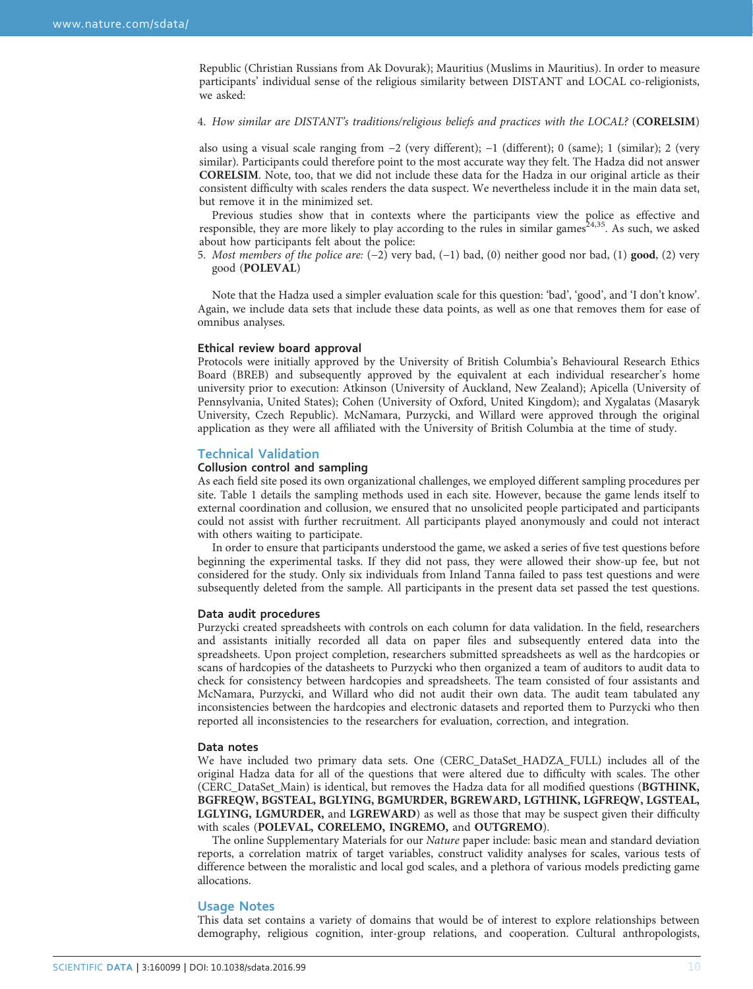Republic (Christian Russians from Ak Dovurak); Mauritius (Muslims in Mauritius). In order to measure participants' individual sense of the religious similarity between DISTANT and LOCAL co-religionists, we asked:

#### 4. How similar are DISTANT's traditions/religious beliefs and practices with the LOCAL? (CORELSIM)

also using a visual scale ranging from −2 (very different); −1 (different); 0 (same); 1 (similar); 2 (very similar). Participants could therefore point to the most accurate way they felt. The Hadza did not answer CORELSIM. Note, too, that we did not include these data for the Hadza in our original article as their consistent difficulty with scales renders the data suspect. We nevertheless include it in the main data set, but remove it in the minimized set.

Previous studies show that in contexts where the participants view the police as effective and responsible, they are more likely to play according to the rules in similar games $24,35$  $24,35$ . As such, we asked about how participants felt about the police:

5. Most members of the police are: (−2) very bad, (−1) bad, (0) neither good nor bad, (1) good, (2) very good (POLEVAL)

Note that the Hadza used a simpler evaluation scale for this question: 'bad', 'good', and 'I don't know'. Again, we include data sets that include these data points, as well as one that removes them for ease of omnibus analyses.

#### Ethical review board approval

Protocols were initially approved by the University of British Columbia's Behavioural Research Ethics Board (BREB) and subsequently approved by the equivalent at each individual researcher's home university prior to execution: Atkinson (University of Auckland, New Zealand); Apicella (University of Pennsylvania, United States); Cohen (University of Oxford, United Kingdom); and Xygalatas (Masaryk University, Czech Republic). McNamara, Purzycki, and Willard were approved through the original application as they were all affiliated with the University of British Columbia at the time of study.

#### Technical Validation

#### Collusion control and sampling

As each field site posed its own organizational challenges, we employed different sampling procedures per site. [Table 1](#page-6-0) details the sampling methods used in each site. However, because the game lends itself to external coordination and collusion, we ensured that no unsolicited people participated and participants could not assist with further recruitment. All participants played anonymously and could not interact with others waiting to participate.

In order to ensure that participants understood the game, we asked a series of five test questions before beginning the experimental tasks. If they did not pass, they were allowed their show-up fee, but not considered for the study. Only six individuals from Inland Tanna failed to pass test questions and were subsequently deleted from the sample. All participants in the present data set passed the test questions.

#### Data audit procedures

Purzycki created spreadsheets with controls on each column for data validation. In the field, researchers and assistants initially recorded all data on paper files and subsequently entered data into the spreadsheets. Upon project completion, researchers submitted spreadsheets as well as the hardcopies or scans of hardcopies of the datasheets to Purzycki who then organized a team of auditors to audit data to check for consistency between hardcopies and spreadsheets. The team consisted of four assistants and McNamara, Purzycki, and Willard who did not audit their own data. The audit team tabulated any inconsistencies between the hardcopies and electronic datasets and reported them to Purzycki who then reported all inconsistencies to the researchers for evaluation, correction, and integration.

#### Data notes

We have included two primary data sets. One (CERC\_DataSet\_HADZA\_FULL) includes all of the original Hadza data for all of the questions that were altered due to difficulty with scales. The other (CERC\_DataSet\_Main) is identical, but removes the Hadza data for all modified questions (BGTHINK, BGFREQW, BGSTEAL, BGLYING, BGMURDER, BGREWARD, LGTHINK, LGFREQW, LGSTEAL, LGLYING, LGMURDER, and LGREWARD) as well as those that may be suspect given their difficulty with scales (POLEVAL, CORELEMO, INGREMO, and OUTGREMO).

The online Supplementary Materials for our Nature paper include: basic mean and standard deviation reports, a correlation matrix of target variables, construct validity analyses for scales, various tests of difference between the moralistic and local god scales, and a plethora of various models predicting game allocations.

#### Usage Notes

This data set contains a variety of domains that would be of interest to explore relationships between demography, religious cognition, inter-group relations, and cooperation. Cultural anthropologists,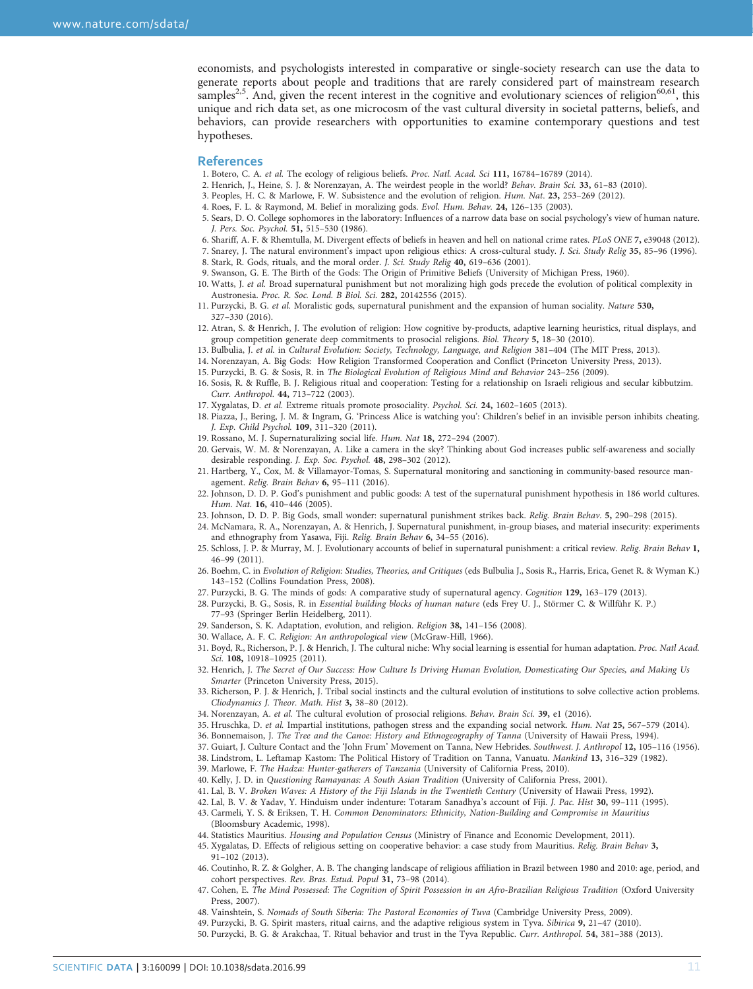<span id="page-10-0"></span>economists, and psychologists interested in comparative or single-society research can use the data to generate reports about people and traditions that are rarely considered part of mainstream research samples<sup>2,5</sup>. And, given the recent interest in the cognitive and evolutionary sciences of religion<sup>60,61</sup>, this unique and rich data set, as one microcosm of the vast cultural diversity in societal patterns, beliefs, and behaviors, can provide researchers with opportunities to examine contemporary questions and test hypotheses.

#### References

- 1. Botero, C. A. et al. The ecology of religious beliefs. Proc. Natl. Acad. Sci 111, 16784–16789 (2014).
- 2. Henrich, J., Heine, S. J. & Norenzayan, A. The weirdest people in the world? Behav. Brain Sci. 33, 61–83 (2010).
- 3. Peoples, H. C. & Marlowe, F. W. Subsistence and the evolution of religion. Hum. Nat. 23, 253–269 (2012).
- 4. Roes, F. L. & Raymond, M. Belief in moralizing gods. Evol. Hum. Behav. 24, 126–135 (2003).
- 5. Sears, D. O. College sophomores in the laboratory: Influences of a narrow data base on social psychology's view of human nature. J. Pers. Soc. Psychol. 51, 515–530 (1986).
- 6. Shariff, A. F. & Rhemtulla, M. Divergent effects of beliefs in heaven and hell on national crime rates. PLoS ONE 7, e39048 (2012).
	- 7. Snarey, J. The natural environment's impact upon religious ethics: A cross-cultural study. J. Sci. Study Relig 35, 85–96 (1996).
	- 8. Stark, R. Gods, rituals, and the moral order. J. Sci. Study Relig 40, 619–636 (2001).
- 9. Swanson, G. E. The Birth of the Gods: The Origin of Primitive Beliefs (University of Michigan Press, 1960).
- 10. Watts, J. et al. Broad supernatural punishment but not moralizing high gods precede the evolution of political complexity in Austronesia. Proc. R. Soc. Lond. B Biol. Sci. 282, 20142556 (2015).
- 11. Purzycki, B. G. et al. Moralistic gods, supernatural punishment and the expansion of human sociality. Nature 530, 327–330 (2016).
- 12. Atran, S. & Henrich, J. The evolution of religion: How cognitive by-products, adaptive learning heuristics, ritual displays, and group competition generate deep commitments to prosocial religions. Biol. Theory 5, 18–30 (2010).
- 13. Bulbulia, J. et al. in Cultural Evolution: Society, Technology, Language, and Religion 381–404 (The MIT Press, 2013).
- 14. Norenzayan, A. Big Gods: How Religion Transformed Cooperation and Conflict (Princeton University Press, 2013).
- 15. Purzycki, B. G. & Sosis, R. in The Biological Evolution of Religious Mind and Behavior 243–256 (2009).
- 16. Sosis, R. & Ruffle, B. J. Religious ritual and cooperation: Testing for a relationship on Israeli religious and secular kibbutzim. Curr. Anthropol. 44, 713-722 (2003).
- 17. Xygalatas, D. et al. Extreme rituals promote prosociality. Psychol. Sci. 24, 1602–1605 (2013).
- 18. Piazza, J., Bering, J. M. & Ingram, G. 'Princess Alice is watching you': Children's belief in an invisible person inhibits cheating. J. Exp. Child Psychol. 109, 311–320 (2011).
- 19. Rossano, M. J. Supernaturalizing social life. Hum. Nat 18, 272–294 (2007).
- 20. Gervais, W. M. & Norenzayan, A. Like a camera in the sky? Thinking about God increases public self-awareness and socially desirable responding. J. Exp. Soc. Psychol. 48, 298–302 (2012).
- 21. Hartberg, Y., Cox, M. & Villamayor-Tomas, S. Supernatural monitoring and sanctioning in community-based resource management. Relig. Brain Behav 6, 95–111 (2016).
- 22. Johnson, D. D. P. God's punishment and public goods: A test of the supernatural punishment hypothesis in 186 world cultures. Hum. Nat. 16, 410–446 (2005).
- 23. Johnson, D. D. P. Big Gods, small wonder: supernatural punishment strikes back. Relig. Brain Behav. 5, 290–298 (2015).
- 24. McNamara, R. A., Norenzayan, A. & Henrich, J. Supernatural punishment, in-group biases, and material insecurity: experiments and ethnography from Yasawa, Fiji. Relig. Brain Behav 6, 34–55 (2016).
- 25. Schloss, J. P. & Murray, M. J. Evolutionary accounts of belief in supernatural punishment: a critical review. Relig. Brain Behav 1, 46–99 (2011).
- 26. Boehm, C. in Evolution of Religion: Studies, Theories, and Critiques (eds Bulbulia J., Sosis R., Harris, Erica, Genet R. & Wyman K.) 143–152 (Collins Foundation Press, 2008).
- 27. Purzycki, B. G. The minds of gods: A comparative study of supernatural agency. Cognition 129, 163-179 (2013).
- 28. Purzycki, B. G., Sosis, R. in Essential building blocks of human nature (eds Frey U. J., Störmer C. & Willführ K. P.) 77–93 (Springer Berlin Heidelberg, 2011).
- 29. Sanderson, S. K. Adaptation, evolution, and religion. Religion 38, 141–156 (2008).
- 30. Wallace, A. F. C. Religion: An anthropological view (McGraw-Hill, 1966).
- 31. Boyd, R., Richerson, P. J. & Henrich, J. The cultural niche: Why social learning is essential for human adaptation. Proc. Natl Acad. Sci. 108, 10918-10925 (2011).
- 32. Henrich, J. The Secret of Our Success: How Culture Is Driving Human Evolution, Domesticating Our Species, and Making Us Smarter (Princeton University Press, 2015).
- 33. Richerson, P. J. & Henrich, J. Tribal social instincts and the cultural evolution of institutions to solve collective action problems. Cliodynamics J. Theor. Math. Hist 3, 38–80 (2012).
- 34. Norenzayan, A. et al. The cultural evolution of prosocial religions. Behav. Brain Sci. 39, e1 (2016).
- 35. Hruschka, D. et al. Impartial institutions, pathogen stress and the expanding social network. Hum. Nat 25, 567–579 (2014).
- 36. Bonnemaison, J. The Tree and the Canoe: History and Ethnogeography of Tanna (University of Hawaii Press, 1994).
- 37. Guiart, J. Culture Contact and the 'John Frum' Movement on Tanna, New Hebrides. Southwest. J. Anthropol 12, 105–116 (1956).
- 38. Lindstrom, L. Leftamap Kastom: The Political History of Tradition on Tanna, Vanuatu. Mankind 13, 316–329 (1982).
- 39. Marlowe, F. The Hadza: Hunter-gatherers of Tanzania (University of California Press, 2010).
- 40. Kelly, J. D. in Questioning Ramayanas: A South Asian Tradition (University of California Press, 2001).
- 41. Lal, B. V. Broken Waves: A History of the Fiji Islands in the Twentieth Century (University of Hawaii Press, 1992).
- 42. Lal, B. V. & Yadav, Y. Hinduism under indenture: Totaram Sanadhya's account of Fiji. J. Pac. Hist 30, 99–111 (1995).
- 43. Carmeli, Y. S. & Eriksen, T. H. Common Denominators: Ethnicity, Nation-Building and Compromise in Mauritius (Bloomsbury Academic, 1998).
- 44. Statistics Mauritius. Housing and Population Census (Ministry of Finance and Economic Development, 2011).
- 45. Xygalatas, D. Effects of religious setting on cooperative behavior: a case study from Mauritius. Relig. Brain Behav 3, 91–102 (2013).
- 46. Coutinho, R. Z. & Golgher, A. B. The changing landscape of religious affiliation in Brazil between 1980 and 2010: age, period, and cohort perspectives. Rev. Bras. Estud. Popul 31, 73–98 (2014).
- 47. Cohen, E. The Mind Possessed: The Cognition of Spirit Possession in an Afro-Brazilian Religious Tradition (Oxford University Press, 2007).
- 48. Vainshtein, S. Nomads of South Siberia: The Pastoral Economies of Tuva (Cambridge University Press, 2009).
- 49. Purzycki, B. G. Spirit masters, ritual cairns, and the adaptive religious system in Tyva. Sibirica 9, 21–47 (2010).
- 50. Purzycki, B. G. & Arakchaa, T. Ritual behavior and trust in the Tyva Republic. Curr. Anthropol. 54, 381–388 (2013).